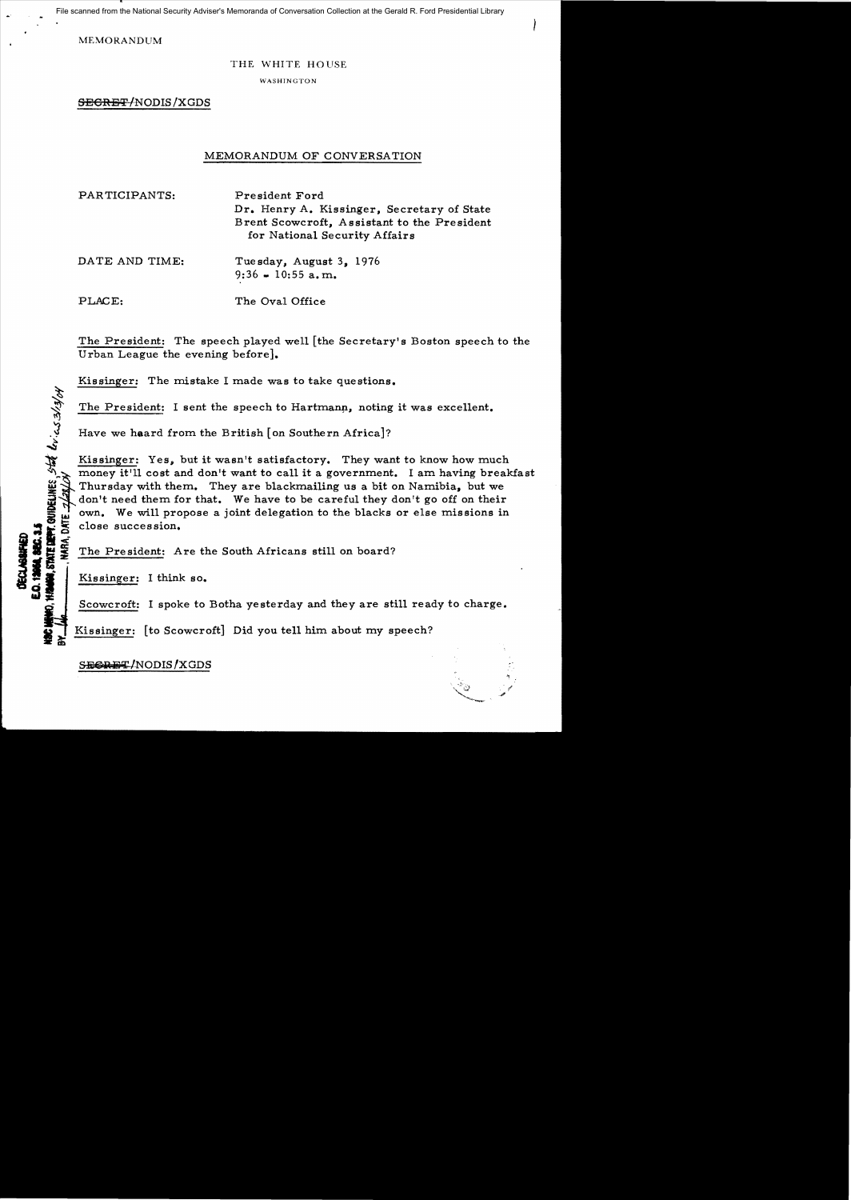File scanned from the National Security Adviser's Memoranda of Conversation Collection at the Gerald R. Ford Presidential Library

MEMORANDUM

## THE WHITE HOUSE

WASHINGTON

<del>SECRET/</del>NODIS/XGDS

# MEMORANDUM OF CONVERSATION

PARTICIPANTS: President Ford Dr. Henry A. Kissinger, Secretary of State Brent Scowcroft, Assistant to the President for National Security Affairs

DATE AND TIME: Tuesday, August 3, 1976  $9:36 - 10:55$  a.m.

PLACE: The Oval Office

The President: The speech played well [the Secretary's Boston speech to the Urban League the evening before].

Kissinger: The mistake I made was to take questions.

The President: I sent the speech to Hartmann, noting it was excellent.<br>Have we heard from the British [on Southern Africa]?

Kissinger: Yes, but it wasn't satisfactory. They want to know how much money it'll cost and don't want to call it a government. I am having breakfast Thursday with them. They are blackmailing us a bit on Namibia, but we don't need them for that. We have to be careful they don't go off on their own. We will propose a joint delegation to the blacks or else missions in

: z close succession.<br>Single section of the President: A<br>Single section of the President: A The President: Are the South Africans still on board?<br>Kissinger: I think so.

STATE DEPT. QUIDELINES, STAT LIVILS 3/3/04

S

 $\mathbf{z} \times$ 

Scowcroft: I spoke to Botha yesterday and they are still ready to charge.

Kissinger: [to Scowcroft] Did you tell him about my speech?

SEGRET/NODIS/XGDS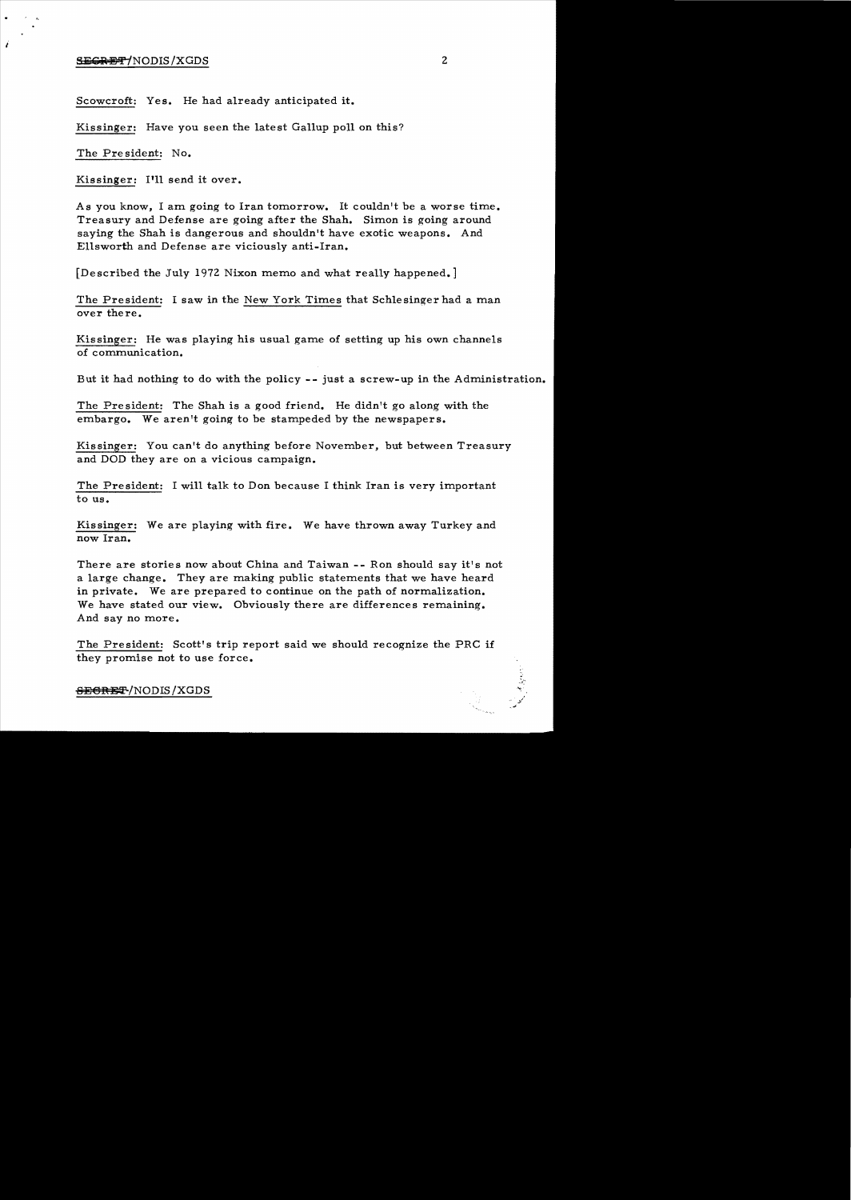# **YECRET**/NODIS/XGDS 2

Scowcroft: Yes. He had already anticipated it.

Kissinger: Have you seen the latest Gallup poll on this?

The Pre sident: No.

Kissinger: I'll send it over.

As you know, I am going to Iran tomorrow. It couldn't be a worse time. Treasury and Defense are going after the Shah. Simon is going around saying the Shah is dangerous and shouldn't have exotic weapons. And Ellsworth and Defense are viciously anti-Iran.

[Described the July 1972 Nixon memo and what really happened.]

The President: I saw in the New York Times that Schlesinger had a man over there.

Kissinger: He was playing his usual game of setting up his own channels of communication.

But it had nothing to do with the policy - - just a screw-up in the Administration.

The Pre sident: The Shah is a good friend. He didn't go along with the embargo. We aren't going to be stampeded by the newspapers.

Kissinger: You can't do anything before November, but between Treasury and DOD they are on a vicious campaign.

The President: I will talk to Don because I think Iran is very important to us.

Kissinger: We are playing with fire. We have thrown away Turkey and now Iran.

There are stories now about China and Taiwan -- Ron should say it's not a large change. They are making public statements that we have heard in private. We are prepared to continue on the path of normalization. We have stated our view. Obviously there are differences remaining. And say no more.

The President: Scott's trip report said we should recognize the PRC if they promise not to use force.

#### <del>SECRET</del>/NODIS/XGDS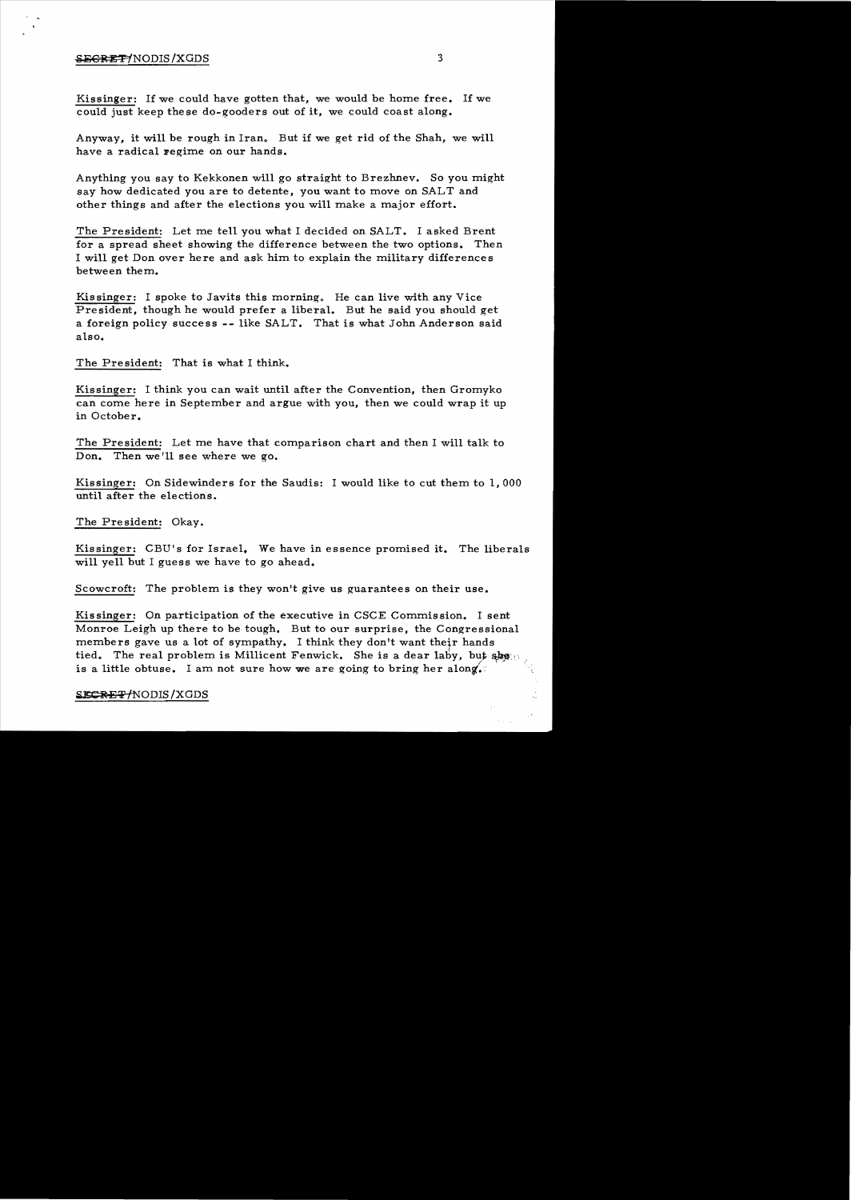## SECRET/NODIS/XGDS 3

 $\sim$ 

Kissinger: If we could have gotten that, we would be home free. If we could just keep the se do-gooders out of it, we could coast along.

Anyway, it will be rough in Iran. But if we get rid of the Shah, we will have a radical regime on our hands.

Anything you say to Kekkonen will go straight to Brezhnev. So you might say how dedicated you are to detente, you want to move on SALT and other things and after the elections you will make a major effort.

The President: Let me tell you what I decided on SALT. I asked Brent for a spread sheet showing the difference between the two options. Then I will get Don over here and ask him to explain the military differences between them.

Kissinger: I spoke to Javits this morning. He can live with any Vice President, though he would prefer a liberal. But he said you should get a foreign policy success **--** like SALT. That is what John Anderson said also.

The President: That is what I think.

Kissinger: I think you can wait until after the Convention, then Gromyko can come here in September and argue with you, then we could wrap it up in October.

The President: Let me have that comparison chart and then I will talk to Don. Then we'll see where we go.

Kissinger: On Sidewinders for the Saudis: I would like to cut them to  $1,000$ until after the elections.

The President: Okay.

Kissinger: CBU's for Israel. We have in essence promised it. The liberals will yell but I guess we have to go ahead.

Scowcroft: The problem is they won't give us guarantees on their use.

Kissinger: On participation of the executive in CSCE Commission. I sent Monroe Leigh up there to be tough. But to our surprise, the Congressional members gave us a lot of sympathy. I think they don't want their hands tied. The real problem is Millicent Fenwick. She is a dear laby, but shewn is a little obtuse. I am not sure how we are going to bring her along.

## SECRET/NODIS/XGDS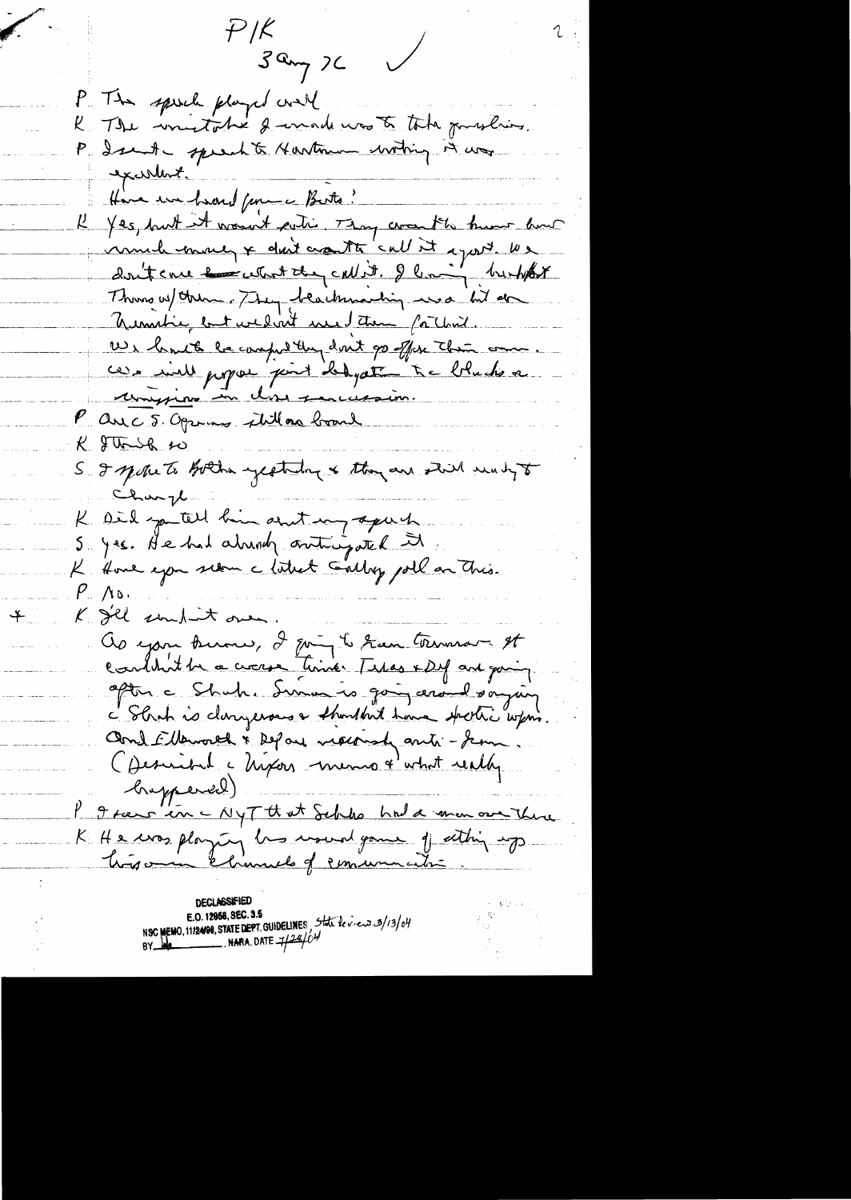$P/K$  $3a_{\gamma}$  ) P. The speech played well The wintothe I unade was to take problem.  $\mathcal{L}_{\mathbb{R}}$ P. Isanta speechts Hartman withing it was excellent. Have en heard from a Butto? K Yes, but it wasn't satis. They creat to know how immed money + don't crowth 'call it agost. We dont care en cetant they called. I live to trembot Thing w/ them. They beachmarting was lit on Unative but wedin't we take for that. Us huit le camp they don't go offer the one. ces inll propose point dedyate the blucks a unifico in los succession. P are 5. Opening still as board  $K$  gtt  $\rightarrow$ S I spoke to hother yesterday & they are still wanty to Charge K Did you tell him and my apart S. yes. He had already outningated it  $P_{\perp}$  /ro. K gel souhant over. as you know, I going to have terminar It couldn't be a circuse time. Tilas x Dif and going. aptin a Shuh. Summe is going around saying c' Shah is donyerous a thought have spertic with Cond Elleworld & Defail neckendy anti-Jean Obscribel à hipois memo + what really brapperd) I Frans in - NyTtt at Schke had a man over there K He was playing his usual game of eithing up.

 $+$ 

**DECLASSIFIED** E.O. 12958, SEC. 3.5 NSC MEMO, 11/24/98, STATE DEPT. GUIDELINES, State le viens 3/13/04 NARA. DATE  $\frac{1}{2}$  /  $\frac{24}{6}$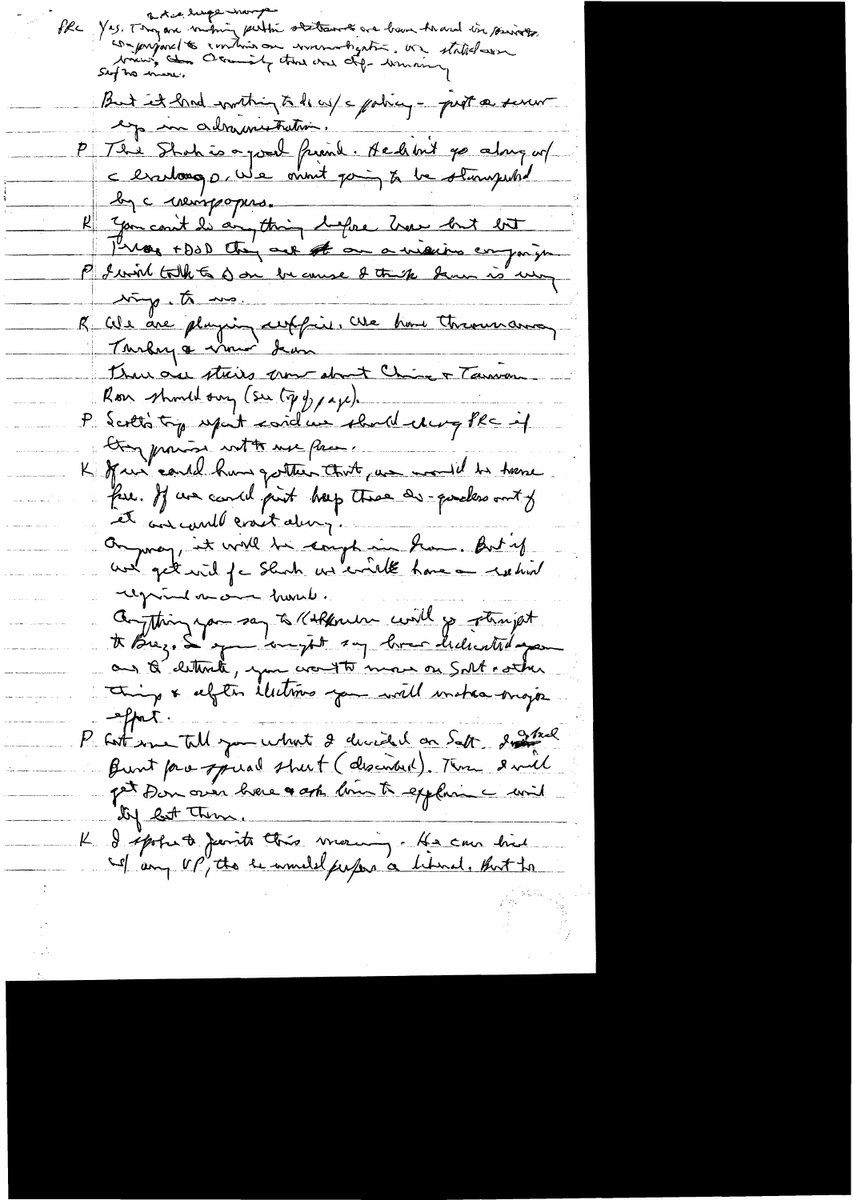otice despairsments abitaines are beau travel in princes But it had writing to do us/c policy - prot a serur eg un adramistration. P Té à Shah is a pour friend. He d'int pa along un R you count les anything before how but but timp. to une duplication est le tous throusance Thurace streits une about Chine & Tannan Roon should sury (See ty of pape). P Scréts top upont cordeux should chang PRC of try provise votte use proc. K fair could have gotten that are would be trene faire. If we cand put hap there are queles out of et aux could crack dury. Ou may, it will be compte in home. But if regional vacant france. Conthing you say to Kirken with your stampt things a difter illutions you will unstanding  $-$ tpat P sit me till you what I directed on Satt district prince pour oues bien a appeller de mil by but Them. K I spoke te parite this vierning. He can hid